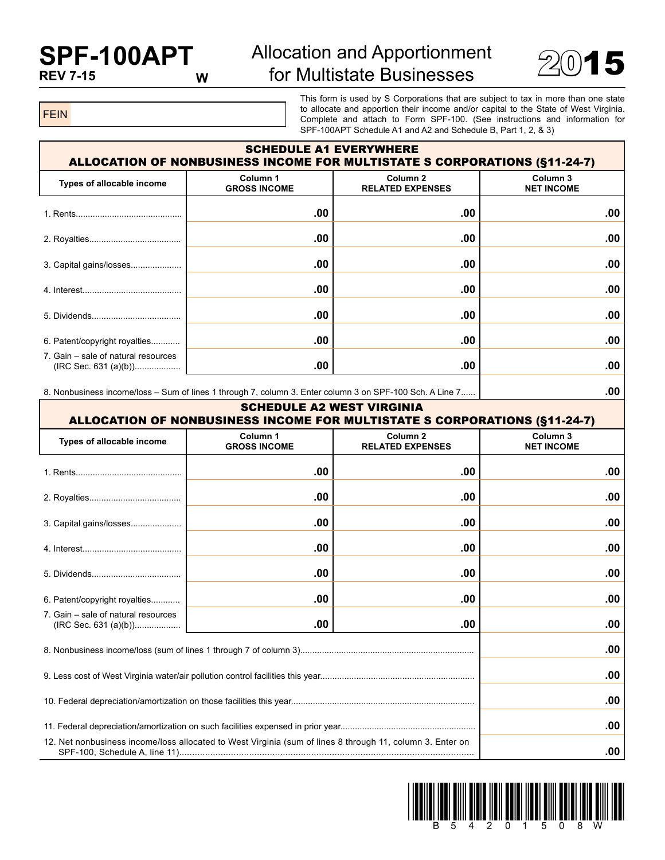## **SPF-100APT REV 7-15**

## Allocation and Apportionment  $\frac{10}{2015}$  for Multistate Businesses  $\frac{2015}{2015}$



FEIN

This form is used by S Corporations that are subject to tax in more than one state to allocate and apportion their income and/or capital to the State of West Virginia. Complete and attach to Form SPF-100. (See instructions and information for SPF-100APT Schedule A1 and A2 and Schedule B, Part 1, 2, & 3)

| <b>SCHEDULE A1 EVERYWHERE</b><br><b>ALLOCATION OF NONBUSINESS INCOME FOR MULTISTATE S CORPORATIONS (§11-24-7)</b> |                                                                                   |     |                               |  |  |  |  |
|-------------------------------------------------------------------------------------------------------------------|-----------------------------------------------------------------------------------|-----|-------------------------------|--|--|--|--|
| Types of allocable income                                                                                         | Column <sub>2</sub><br>Column 1<br><b>GROSS INCOME</b><br><b>RELATED EXPENSES</b> |     | Column 3<br><b>NET INCOME</b> |  |  |  |  |
|                                                                                                                   | .00                                                                               | .00 | .00                           |  |  |  |  |
|                                                                                                                   | .00                                                                               | .00 | .00                           |  |  |  |  |
| 3. Capital gains/losses                                                                                           | .00                                                                               | .00 | .00                           |  |  |  |  |
|                                                                                                                   | .00                                                                               | .00 | $.00 \,$                      |  |  |  |  |
|                                                                                                                   | .00                                                                               | .00 | $.00 \,$                      |  |  |  |  |
| 6. Patent/copyright royalties                                                                                     | .00                                                                               | .00 | .00                           |  |  |  |  |
| 7. Gain – sale of natural resources                                                                               | .00                                                                               | .00 | .00                           |  |  |  |  |

8. Nonbusiness income/loss – Sum of lines 1 through 7, column 3. Enter column 3 on SPF-100 Sch. A Line 7...... **.00**

| <b>SCHEDULE A2 WEST VIRGINIA</b><br><b>ALLOCATION OF NONBUSINESS INCOME FOR MULTISTATE S CORPORATIONS (§11-24-7)</b> |                                 |                                                |                               |  |  |  |  |
|----------------------------------------------------------------------------------------------------------------------|---------------------------------|------------------------------------------------|-------------------------------|--|--|--|--|
| Types of allocable income                                                                                            | Column 1<br><b>GROSS INCOME</b> | Column <sub>2</sub><br><b>RELATED EXPENSES</b> | Column 3<br><b>NET INCOME</b> |  |  |  |  |
|                                                                                                                      | .00                             | .00                                            | .00                           |  |  |  |  |
|                                                                                                                      | .00                             | .00                                            | .00                           |  |  |  |  |
| 3. Capital gains/losses                                                                                              | .00                             | .00                                            | .00                           |  |  |  |  |
|                                                                                                                      | .00                             | .00                                            | .00                           |  |  |  |  |
|                                                                                                                      | .00                             | .00                                            | .00                           |  |  |  |  |
| 6. Patent/copyright royalties                                                                                        | .00                             | .00                                            | .00                           |  |  |  |  |
| 7. Gain – sale of natural resources<br>(IRC Sec. 631 (a)(b))                                                         | .00                             | .00                                            | .00                           |  |  |  |  |
|                                                                                                                      | .00                             |                                                |                               |  |  |  |  |
|                                                                                                                      | .00                             |                                                |                               |  |  |  |  |
|                                                                                                                      | .00                             |                                                |                               |  |  |  |  |
|                                                                                                                      | .00                             |                                                |                               |  |  |  |  |
| 12. Net nonbusiness income/loss allocated to West Virginia (sum of lines 8 through 11, column 3. Enter on            | .00                             |                                                |                               |  |  |  |  |